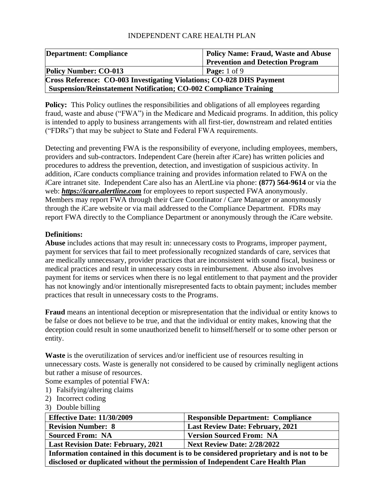| <b>Department: Compliance</b>                                               | <b>Policy Name: Fraud, Waste and Abuse</b> |
|-----------------------------------------------------------------------------|--------------------------------------------|
|                                                                             | <b>Prevention and Detection Program</b>    |
| <b>Policy Number: CO-013</b>                                                | <b>Page:</b> $1$ of $9$                    |
| <b>Cross Reference: CO-003 Investigating Violations; CO-028 DHS Payment</b> |                                            |
| <b>Suspension/Reinstatement Notification; CO-002 Compliance Training</b>    |                                            |

**Policy:** This Policy outlines the responsibilities and obligations of all employees regarding fraud, waste and abuse ("FWA") in the Medicare and Medicaid programs. In addition, this policy is intended to apply to business arrangements with all first-tier, downstream and related entities ("FDRs") that may be subject to State and Federal FWA requirements.

Detecting and preventing FWA is the responsibility of everyone, including employees, members, providers and sub-contractors. Independent Care (herein after *i*Care) has written policies and procedures to address the prevention, detection, and investigation of suspicious activity. In addition, *i*Care conducts compliance training and provides information related to FWA on the *i*Care intranet site. Independent Care also has an AlertLine via phone: **(877) 564-9614** or via the web: *[https://icare.alertline.com](https://icare.alertline.com/)* for employees to report suspected FWA anonymously. Members may report FWA through their Care Coordinator / Care Manager or anonymously through the *i*Care website or via mail addressed to the Compliance Department. FDRs may report FWA directly to the Compliance Department or anonymously through the *i*Care website.

## **Definitions:**

**Abuse** includes actions that may result in: unnecessary costs to Programs, improper payment, payment for services that fail to meet professionally recognized standards of care, services that are medically unnecessary, provider practices that are inconsistent with sound fiscal, business or medical practices and result in unnecessary costs in reimbursement. Abuse also involves payment for items or services when there is no legal entitlement to that payment and the provider has not knowingly and/or intentionally misrepresented facts to obtain payment; includes member practices that result in unnecessary costs to the Programs.

**Fraud** means an intentional deception or misrepresentation that the individual or entity knows to be false or does not believe to be true, and that the individual or entity makes, knowing that the deception could result in some unauthorized benefit to himself/herself or to some other person or entity.

**Waste** is the overutilization of services and/or inefficient use of resources resulting in unnecessary costs. Waste is generally not considered to be caused by criminally negligent actions but rather a misuse of resources.

Some examples of potential FWA:

- 1) Falsifying/altering claims
- 2) Incorrect coding
- 3) Double billing

| <b>Effective Date: 11/30/2009</b>         | <b>Responsible Department: Compliance</b> |
|-------------------------------------------|-------------------------------------------|
| <b>Revision Number: 8</b>                 | <b>Last Review Date: February, 2021</b>   |
| <b>Sourced From: NA</b>                   | <b>Version Sourced From: NA</b>           |
| <b>Last Revision Date: February, 2021</b> | <b>Next Review Date: 2/28/2022</b>        |
|                                           |                                           |

**Information contained in this document is to be considered proprietary and is not to be disclosed or duplicated without the permission of Independent Care Health Plan**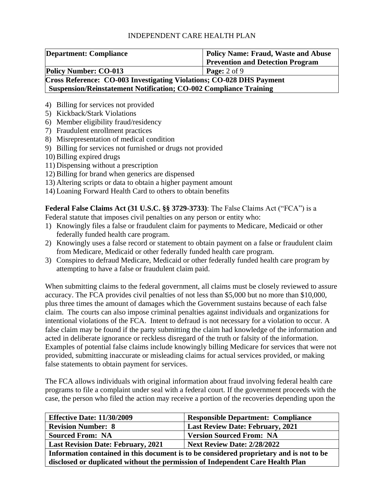| <b>Department: Compliance</b>                                            | <b>Policy Name: Fraud, Waste and Abuse</b> |  |
|--------------------------------------------------------------------------|--------------------------------------------|--|
|                                                                          | <b>Prevention and Detection Program</b>    |  |
| <b>Policy Number: CO-013</b>                                             | <b>Page:</b> $2$ of $9$                    |  |
| Cross Reference: CO-003 Investigating Violations; CO-028 DHS Payment     |                                            |  |
| <b>Suspension/Reinstatement Notification; CO-002 Compliance Training</b> |                                            |  |

- 4) Billing for services not provided
- 5) Kickback/Stark Violations
- 6) Member eligibility fraud/residency
- 7) Fraudulent enrollment practices
- 8) Misrepresentation of medical condition
- 9) Billing for services not furnished or drugs not provided
- 10) Billing expired drugs
- 11) Dispensing without a prescription
- 12) Billing for brand when generics are dispensed
- 13) Altering scripts or data to obtain a higher payment amount
- 14) Loaning Forward Health Card to others to obtain benefits

**Federal False Claims Act (31 U.S.C. §§ 3729-3733)**: The False Claims Act ("FCA") is a Federal statute that imposes civil penalties on any person or entity who:

- 1) Knowingly files a false or fraudulent claim for payments to Medicare, Medicaid or other federally funded health care program.
- 2) Knowingly uses a false record or statement to obtain payment on a false or fraudulent claim from Medicare, Medicaid or other federally funded health care program.
- 3) Conspires to defraud Medicare, Medicaid or other federally funded health care program by attempting to have a false or fraudulent claim paid.

When submitting claims to the federal government, all claims must be closely reviewed to assure accuracy. The FCA provides civil penalties of not less than \$5,000 but no more than \$10,000, plus three times the amount of damages which the Government sustains because of each false claim. The courts can also impose criminal penalties against individuals and organizations for intentional violations of the FCA. Intent to defraud is not necessary for a violation to occur. A false claim may be found if the party submitting the claim had knowledge of the information and acted in deliberate ignorance or reckless disregard of the truth or falsity of the information. Examples of potential false claims include knowingly billing Medicare for services that were not provided, submitting inaccurate or misleading claims for actual services provided, or making false statements to obtain payment for services.

The FCA allows individuals with original information about fraud involving federal health care programs to file a complaint under seal with a federal court. If the government proceeds with the case, the person who filed the action may receive a portion of the recoveries depending upon the

| <b>Effective Date: 11/30/2009</b>                                                       | <b>Responsible Department: Compliance</b> |  |
|-----------------------------------------------------------------------------------------|-------------------------------------------|--|
| <b>Revision Number: 8</b>                                                               | <b>Last Review Date: February, 2021</b>   |  |
| <b>Sourced From: NA</b>                                                                 | <b>Version Sourced From: NA</b>           |  |
| <b>Next Review Date: 2/28/2022</b><br><b>Last Revision Date: February, 2021</b>         |                                           |  |
| Information contained in this document is to be considered proprietary and is not to be |                                           |  |
| disclosed or duplicated without the permission of Independent Care Health Plan          |                                           |  |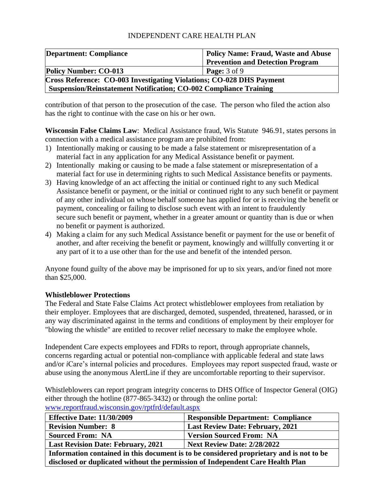| <b>Department: Compliance</b>                                               | <b>Policy Name: Fraud, Waste and Abuse</b> |
|-----------------------------------------------------------------------------|--------------------------------------------|
|                                                                             | <b>Prevention and Detection Program</b>    |
| <b>Policy Number: CO-013</b>                                                | <b>Page:</b> $3$ of $9$                    |
| <b>Cross Reference: CO-003 Investigating Violations; CO-028 DHS Payment</b> |                                            |
| <b>Suspension/Reinstatement Notification; CO-002 Compliance Training</b>    |                                            |

contribution of that person to the prosecution of the case. The person who filed the action also has the right to continue with the case on his or her own.

**Wisconsin False Claims Law**: Medical Assistance fraud, Wis Statute 946.91, states persons in connection with a medical assistance program are prohibited from:

- 1) Intentionally making or causing to be made a false statement or misrepresentation of a material fact in any application for any Medical Assistance benefit or payment.
- 2) Intentionally making or causing to be made a false statement or misrepresentation of a material fact for use in determining rights to such Medical Assistance benefits or payments.
- 3) Having knowledge of an act affecting the initial or continued right to any such Medical Assistance benefit or payment, or the initial or continued right to any such benefit or payment of any other individual on whose behalf someone has applied for or is receiving the benefit or payment, concealing or failing to disclose such event with an intent to fraudulently secure such benefit or payment, whether in a greater amount or quantity than is due or when no benefit or payment is authorized.
- 4) Making a claim for any such Medical Assistance benefit or payment for the use or benefit of another, and after receiving the benefit or payment, knowingly and willfully converting it or any part of it to a use other than for the use and benefit of the intended person.

Anyone found guilty of the above may be imprisoned for up to six years, and/or fined not more than \$25,000.

#### **Whistleblower Protections**

The Federal and State False Claims Act protect whistleblower employees from retaliation by their employer. Employees that are discharged, demoted, suspended, threatened, harassed, or in any way discriminated against in the terms and conditions of employment by their employer for "blowing the whistle" are entitled to recover relief necessary to make the employee whole.

Independent Care expects employees and FDRs to report, through appropriate channels, concerns regarding actual or potential non-compliance with applicable federal and state laws and/or *i*Care's internal policies and procedures. Employees may report suspected fraud, waste or abuse using the anonymous AlertLine if they are uncomfortable reporting to their supervisor.

Whistleblowers can report program integrity concerns to DHS Office of Inspector General (OIG) either through the hotline (877-865-3432) or through the online portal: [www.reportfraud.wisconsin.gov/rptfrd/default.aspx](http://www.reportfraud.wisconsin.gov/rptfrd/default.aspx)

| <b>Effective Date: 11/30/2009</b>                                                       | <b>Responsible Department: Compliance</b> |  |
|-----------------------------------------------------------------------------------------|-------------------------------------------|--|
| <b>Revision Number: 8</b>                                                               | <b>Last Review Date: February, 2021</b>   |  |
| <b>Sourced From: NA</b>                                                                 | <b>Version Sourced From: NA</b>           |  |
| <b>Next Review Date: 2/28/2022</b><br><b>Last Revision Date: February, 2021</b>         |                                           |  |
| Information contained in this document is to be considered proprietary and is not to be |                                           |  |

**disclosed or duplicated without the permission of Independent Care Health Plan**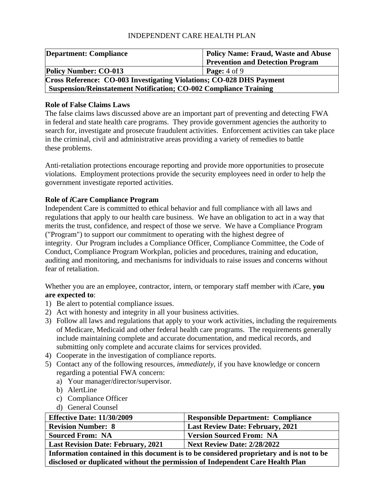| <b>Department: Compliance</b>                                            | <b>Policy Name: Fraud, Waste and Abuse</b> |
|--------------------------------------------------------------------------|--------------------------------------------|
|                                                                          | <b>Prevention and Detection Program</b>    |
| <b>Policy Number: CO-013</b>                                             | <b>Page:</b> $4$ of $9$                    |
| Cross Reference: CO-003 Investigating Violations; CO-028 DHS Payment     |                                            |
| <b>Suspension/Reinstatement Notification; CO-002 Compliance Training</b> |                                            |

## **Role of False Claims Laws**

The false claims laws discussed above are an important part of preventing and detecting FWA in federal and state health care programs. They provide government agencies the authority to search for, investigate and prosecute fraudulent activities. Enforcement activities can take place in the criminal, civil and administrative areas providing a variety of remedies to battle these problems.

Anti-retaliation protections encourage reporting and provide more opportunities to prosecute violations. Employment protections provide the security employees need in order to help the government investigate reported activities.

# **Role of** *i***Care Compliance Program**

Independent Care is committed to ethical behavior and full compliance with all laws and regulations that apply to our health care business. We have an obligation to act in a way that merits the trust, confidence, and respect of those we serve. We have a Compliance Program ("Program") to support our commitment to operating with the highest degree of integrity. Our Program includes a Compliance Officer, Compliance Committee, the Code of Conduct, Compliance Program Workplan, policies and procedures, training and education, auditing and monitoring, and mechanisms for individuals to raise issues and concerns without fear of retaliation.

Whether you are an employee, contractor, intern, or temporary staff member with *i*Care, **you are expected to**:

- 1) Be alert to potential compliance issues.
- 2) Act with honesty and integrity in all your business activities.
- 3) Follow all laws and regulations that apply to your work activities, including the requirements of Medicare, Medicaid and other federal health care programs. The requirements generally include maintaining complete and accurate documentation, and medical records, and submitting only complete and accurate claims for services provided.
- 4) Cooperate in the investigation of compliance reports.
- 5) Contact any of the following resources, *immediately,* if you have knowledge or concern regarding a potential FWA concern:
	- a) Your manager/director/supervisor.
	- b) AlertLine
	- c) Compliance Officer
	- d) General Counsel

| <b>Effective Date: 11/30/2009</b>         | <b>Responsible Department: Compliance</b> |
|-------------------------------------------|-------------------------------------------|
| <b>Revision Number: 8</b>                 | <b>Last Review Date: February, 2021</b>   |
| <b>Sourced From: NA</b>                   | <b>Version Sourced From: NA</b>           |
| <b>Last Revision Date: February, 2021</b> | <b>Next Review Date: 2/28/2022</b>        |
|                                           |                                           |

**Information contained in this document is to be considered proprietary and is not to be disclosed or duplicated without the permission of Independent Care Health Plan**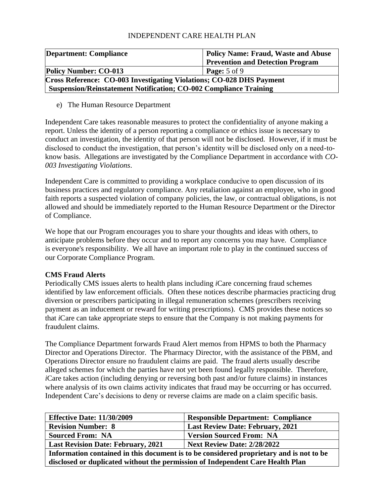| <b>Department: Compliance</b>                                            | <b>Policy Name: Fraud, Waste and Abuse</b> |
|--------------------------------------------------------------------------|--------------------------------------------|
|                                                                          | <b>Prevention and Detection Program</b>    |
| <b>Policy Number: CO-013</b>                                             | <b>Page:</b> $5$ of $9$                    |
| Cross Reference: CO-003 Investigating Violations; CO-028 DHS Payment     |                                            |
| <b>Suspension/Reinstatement Notification; CO-002 Compliance Training</b> |                                            |

e) The Human Resource Department

Independent Care takes reasonable measures to protect the confidentiality of anyone making a report. Unless the identity of a person reporting a compliance or ethics issue is necessary to conduct an investigation, the identity of that person will not be disclosed. However, if it must be disclosed to conduct the investigation, that person's identity will be disclosed only on a need-toknow basis. Allegations are investigated by the Compliance Department in accordance with *CO-003 Investigating Violations*.

Independent Care is committed to providing a workplace conducive to open discussion of its business practices and regulatory compliance. Any retaliation against an employee, who in good faith reports a suspected violation of company policies, the law, or contractual obligations, is not allowed and should be immediately reported to the Human Resource Department or the Director of Compliance.

We hope that our Program encourages you to share your thoughts and ideas with others, to anticipate problems before they occur and to report any concerns you may have. Compliance is everyone's responsibility. We all have an important role to play in the continued success of our Corporate Compliance Program.

# **CMS Fraud Alerts**

Periodically CMS issues alerts to health plans including *i*Care concerning fraud schemes identified by law enforcement officials. Often these notices describe pharmacies practicing drug diversion or prescribers participating in illegal remuneration schemes (prescribers receiving payment as an inducement or reward for writing prescriptions). CMS provides these notices so that *i*Care can take appropriate steps to ensure that the Company is not making payments for fraudulent claims.

The Compliance Department forwards Fraud Alert memos from HPMS to both the Pharmacy Director and Operations Director. The Pharmacy Director, with the assistance of the PBM, and Operations Director ensure no fraudulent claims are paid. The fraud alerts usually describe alleged schemes for which the parties have not yet been found legally responsible. Therefore, *i*Care takes action (including denying or reversing both past and/or future claims) in instances where analysis of its own claims activity indicates that fraud may be occurring or has occurred. Independent Care's decisions to deny or reverse claims are made on a claim specific basis.

| <b>Effective Date: 11/30/2009</b>                                                       | <b>Responsible Department: Compliance</b> |  |
|-----------------------------------------------------------------------------------------|-------------------------------------------|--|
| <b>Revision Number: 8</b>                                                               | <b>Last Review Date: February, 2021</b>   |  |
| <b>Sourced From: NA</b>                                                                 | <b>Version Sourced From: NA</b>           |  |
| <b>Last Revision Date: February, 2021</b>                                               | <b>Next Review Date: 2/28/2022</b>        |  |
| Information contained in this document is to be considered proprietary and is not to be |                                           |  |
| disclosed or duplicated without the permission of Independent Care Health Plan          |                                           |  |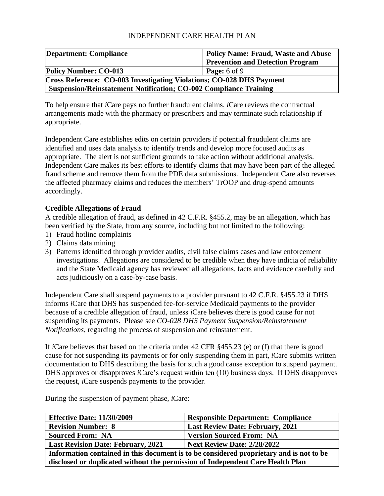| <b>Department: Compliance</b>                                            | <b>Policy Name: Fraud, Waste and Abuse</b> |
|--------------------------------------------------------------------------|--------------------------------------------|
|                                                                          | <b>Prevention and Detection Program</b>    |
| <b>Policy Number: CO-013</b>                                             | <b>Page:</b> $6$ of $9$                    |
| Cross Reference: CO-003 Investigating Violations; CO-028 DHS Payment     |                                            |
| <b>Suspension/Reinstatement Notification; CO-002 Compliance Training</b> |                                            |

To help ensure that *i*Care pays no further fraudulent claims, *i*Care reviews the contractual arrangements made with the pharmacy or prescribers and may terminate such relationship if appropriate.

Independent Care establishes edits on certain providers if potential fraudulent claims are identified and uses data analysis to identify trends and develop more focused audits as appropriate. The alert is not sufficient grounds to take action without additional analysis. Independent Care makes its best efforts to identify claims that may have been part of the alleged fraud scheme and remove them from the PDE data submissions. Independent Care also reverses the affected pharmacy claims and reduces the members' TrOOP and drug-spend amounts accordingly.

## **Credible Allegations of Fraud**

A credible allegation of fraud, as defined in 42 C.F.R. §455.2, may be an allegation, which has been verified by the State, from any source, including but not limited to the following:

- 1) Fraud hotline complaints
- 2) Claims data mining
- 3) Patterns identified through provider audits, civil false claims cases and law enforcement investigations. Allegations are considered to be credible when they have indicia of reliability and the State Medicaid agency has reviewed all allegations, facts and evidence carefully and acts judiciously on a case-by-case basis.

Independent Care shall suspend payments to a provider pursuant to 42 C.F.R. §455.23 if DHS informs *i*Care that DHS has suspended fee-for-service Medicaid payments to the provider because of a credible allegation of fraud, unless *i*Care believes there is good cause for not suspending its payments. Please see *CO-028 DHS Payment Suspension/Reinstatement Notifications*, regarding the process of suspension and reinstatement.

If *i*Care believes that based on the criteria under 42 CFR §455.23 (e) or (f) that there is good cause for not suspending its payments or for only suspending them in part, *i*Care submits written documentation to DHS describing the basis for such a good cause exception to suspend payment. DHS approves or disapproves *i*Care's request within ten (10) business days. If DHS disapproves the request, *i*Care suspends payments to the provider.

During the suspension of payment phase, *i*Care:

| <b>Effective Date: 11/30/2009</b>                                                       | <b>Responsible Department: Compliance</b> |  |
|-----------------------------------------------------------------------------------------|-------------------------------------------|--|
| <b>Revision Number: 8</b>                                                               | <b>Last Review Date: February, 2021</b>   |  |
| <b>Sourced From: NA</b>                                                                 | <b>Version Sourced From: NA</b>           |  |
| <b>Last Revision Date: February, 2021</b>                                               | <b>Next Review Date: 2/28/2022</b>        |  |
| Information contained in this document is to be considered proprietary and is not to be |                                           |  |
| disclosed or duplicated without the permission of Independent Care Health Plan          |                                           |  |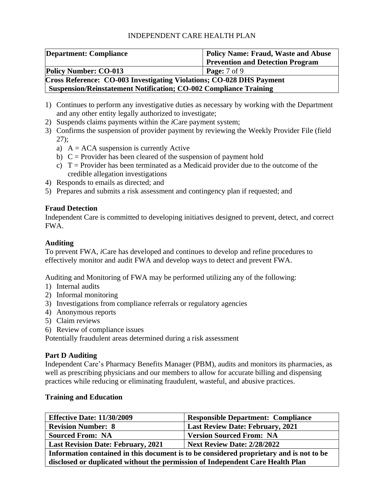| <b>Department: Compliance</b>                                               | <b>Policy Name: Fraud, Waste and Abuse</b> |  |
|-----------------------------------------------------------------------------|--------------------------------------------|--|
|                                                                             | <b>Prevention and Detection Program</b>    |  |
| <b>Policy Number: CO-013</b>                                                | <b>Page:</b> 7 of 9                        |  |
| <b>Cross Reference: CO-003 Investigating Violations; CO-028 DHS Payment</b> |                                            |  |
| <b>Suspension/Reinstatement Notification; CO-002 Compliance Training</b>    |                                            |  |

- 1) Continues to perform any investigative duties as necessary by working with the Department and any other entity legally authorized to investigate;
- 2) Suspends claims payments within the *i*Care payment system;
- 3) Confirms the suspension of provider payment by reviewing the Weekly Provider File (field 27);
	- a)  $A = ACA$  suspension is currently Active
	- b)  $C =$  Provider has been cleared of the suspension of payment hold
	- c)  $T =$  Provider has been terminated as a Medicaid provider due to the outcome of the credible allegation investigations
- 4) Responds to emails as directed; and
- 5) Prepares and submits a risk assessment and contingency plan if requested; and

#### **Fraud Detection**

Independent Care is committed to developing initiatives designed to prevent, detect, and correct FWA.

# **Auditing**

To prevent FWA, *i*Care has developed and continues to develop and refine procedures to effectively monitor and audit FWA and develop ways to detect and prevent FWA.

Auditing and Monitoring of FWA may be performed utilizing any of the following:

- 1) Internal audits
- 2) Informal monitoring
- 3) Investigations from compliance referrals or regulatory agencies
- 4) Anonymous reports
- 5) Claim reviews
- 6) Review of compliance issues

Potentially fraudulent areas determined during a risk assessment

#### **Part D Auditing**

Independent Care's Pharmacy Benefits Manager (PBM), audits and monitors its pharmacies, as well as prescribing physicians and our members to allow for accurate billing and dispensing practices while reducing or eliminating fraudulent, wasteful, and abusive practices.

#### **Training and Education**

| <b>Effective Date: 11/30/2009</b>                                                       | <b>Responsible Department: Compliance</b> |  |
|-----------------------------------------------------------------------------------------|-------------------------------------------|--|
| <b>Revision Number: 8</b>                                                               | <b>Last Review Date: February, 2021</b>   |  |
| <b>Sourced From: NA</b>                                                                 | <b>Version Sourced From: NA</b>           |  |
| <b>Last Revision Date: February, 2021</b>                                               | <b>Next Review Date: 2/28/2022</b>        |  |
| Information contained in this document is to be considered proprietary and is not to be |                                           |  |
| disclosed or duplicated without the permission of Independent Care Health Plan          |                                           |  |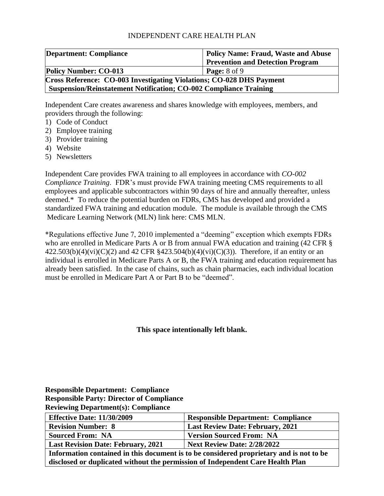| <b>Department: Compliance</b>                                               | <b>Policy Name: Fraud, Waste and Abuse</b> |  |
|-----------------------------------------------------------------------------|--------------------------------------------|--|
|                                                                             | <b>Prevention and Detection Program</b>    |  |
| <b>Policy Number: CO-013</b>                                                | <b>Page:</b> $8$ of $9$                    |  |
| <b>Cross Reference: CO-003 Investigating Violations; CO-028 DHS Payment</b> |                                            |  |
| <b>Suspension/Reinstatement Notification; CO-002 Compliance Training</b>    |                                            |  |

Independent Care creates awareness and shares knowledge with employees, members, and providers through the following:

- 1) Code of Conduct
- 2) Employee training
- 3) Provider training
- 4) Website
- 5) Newsletters

Independent Care provides FWA training to all employees in accordance with *CO-002 Compliance Training*. FDR's must provide FWA training meeting CMS requirements to all employees and applicable subcontractors within 90 days of hire and annually thereafter, unless deemed.\* To reduce the potential burden on FDRs, CMS has developed and provided a standardized FWA training and education module. The module is available through the CMS Medicare Learning Network (MLN) link here: [CMS MLN.](https://www.cms.gov/Outreach-and-Education/Medicare-Learning-Network-MLN/MLNGenInfo/index.html?redirect=/MLNGenInfo/)

\*Regulations effective June 7, 2010 implemented a "deeming" exception which exempts FDRs who are enrolled in Medicare Parts A or B from annual FWA education and training (42 CFR §  $422.503(b)(4)(vi)(C)(2)$  and  $42$  CFR  $$423.504(b)(4)(vi)(C)(3)$ ). Therefore, if an entity or an individual is enrolled in Medicare Parts A or B, the FWA training and education requirement has already been satisfied. In the case of chains, such as chain pharmacies, each individual location must be enrolled in Medicare Part A or Part B to be "deemed".

**This space intentionally left blank.**

**Responsible Department: Compliance Responsible Party: Director of Compliance Reviewing Department(s): Compliance**

| <b>Effective Date: 11/30/2009</b>                                                       | <b>Responsible Department: Compliance</b> |  |
|-----------------------------------------------------------------------------------------|-------------------------------------------|--|
| <b>Revision Number: 8</b>                                                               | <b>Last Review Date: February, 2021</b>   |  |
| <b>Sourced From: NA</b>                                                                 | <b>Version Sourced From: NA</b>           |  |
| <b>Last Revision Date: February, 2021</b>                                               | <b>Next Review Date: 2/28/2022</b>        |  |
| Information contained in this document is to be considered proprietary and is not to be |                                           |  |

**disclosed or duplicated without the permission of Independent Care Health Plan**